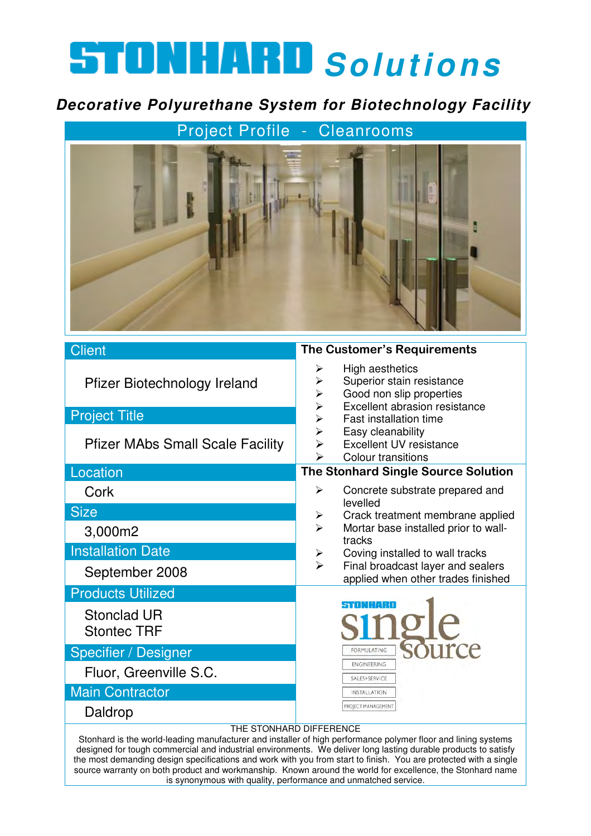## **STONHARD** Solutions

## **Decorative Polyurethane System for Biotechnology Facility**



| <b>Client</b>                            | The Customer's Requirements                                                                                                                     |
|------------------------------------------|-------------------------------------------------------------------------------------------------------------------------------------------------|
| Pfizer Biotechnology Ireland             | High aesthetics<br>Superior stain resistance<br>$\blacktriangleright$<br>$\lambda$<br>Good non slip properties<br>Excellent abrasion resistance |
| <b>Project Title</b>                     | $\blacktriangleright$<br>Fast installation time                                                                                                 |
| <b>Pfizer MAbs Small Scale Facility</b>  | $\blacktriangleright$<br>Easy cleanability<br>$\blacktriangleright$<br><b>Excellent UV resistance</b><br><b>Colour transitions</b>              |
| Location                                 | The Stonhard Single Source Solution                                                                                                             |
| Cork                                     | Concrete substrate prepared and<br>➤                                                                                                            |
| <b>Size</b>                              | levelled<br>Crack treatment membrane applied<br>➤                                                                                               |
| 3,000m2                                  | $\blacktriangleright$<br>Mortar base installed prior to wall-<br>tracks                                                                         |
| <b>Installation Date</b>                 | Coving installed to wall tracks<br>$\blacktriangleright$                                                                                        |
| September 2008                           | $\blacktriangleright$<br>Final broadcast layer and sealers<br>applied when other trades finished                                                |
| <b>Products Utilized</b>                 |                                                                                                                                                 |
| <b>Stonclad UR</b><br><b>Stontec TRF</b> | 510. HART                                                                                                                                       |
| <b>Specifier / Designer</b>              | source<br>FORMULATING                                                                                                                           |
| Fluor, Greenville S.C.                   | <b>ENGINEERING</b><br>SALES+SERVICE                                                                                                             |
| <b>Main Contractor</b>                   | <b>INSTALLATION</b>                                                                                                                             |
| Daldrop                                  | PROJECT MANAGEMENT                                                                                                                              |
| THE STONHARD DIFFERENCE                  |                                                                                                                                                 |

## THE STONHARD DIFFERENCE

Stonhard is the world-leading manufacturer and installer of high performance polymer floor and lining systems designed for tough commercial and industrial environments. We deliver long lasting durable products to satisfy the most demanding design specifications and work with you from start to finish. You are protected with a single source warranty on both product and workmanship. Known around the world for excellence, the Stonhard name is synonymous with quality, performance and unmatched service.